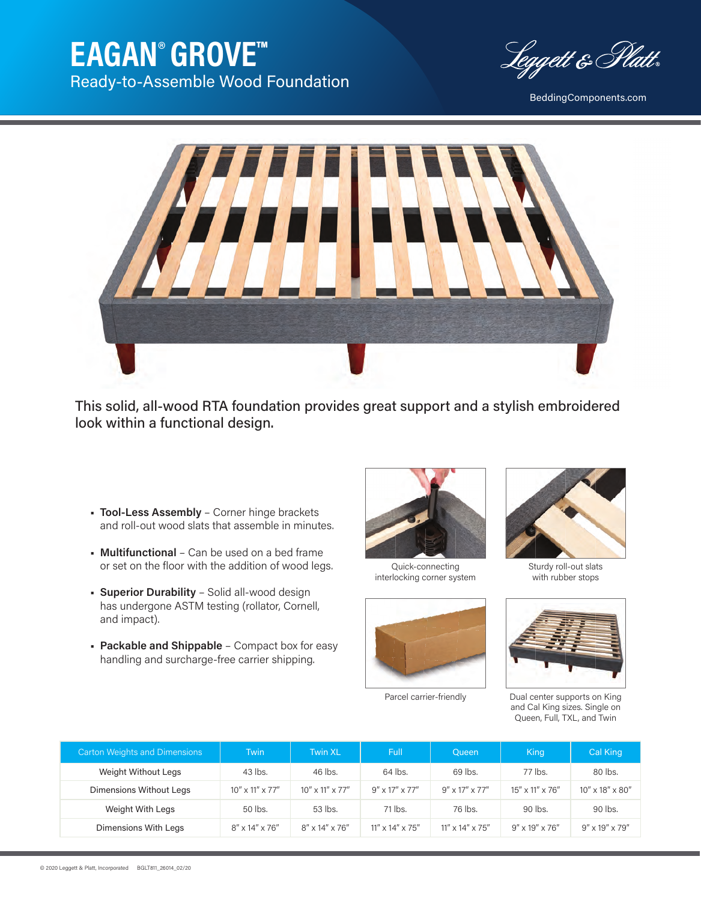## **EAGAN**® **GROVE™** Ready-to-Assemble Wood Foundation

Leggett & Platt

BeddingComponents.com



This solid, all-wood RTA foundation provides great support and a stylish embroidered look within a functional design.

- **Tool-Less Assembly** Corner hinge brackets and roll-out wood slats that assemble in minutes.
- **Multifunctional** Can be used on a bed frame or set on the floor with the addition of wood legs.
- **Superior Durability** Solid all-wood design has undergone ASTM testing (rollator, Cornell, and impact).
- **Packable and Shippable** Compact box for easy handling and surcharge-free carrier shipping.



Quick-connecting interlocking corner system





Sturdy roll-out slats with rubber stops



Parcel carrier-friendly Dual center supports on King and Cal King sizes. Single on Queen, Full, TXL, and Twin

| <b>Carton Weights and Dimensions</b> | <b>Twin</b>              | Twin XL                        | <b>Full</b>                   | <b>Queen</b>                  | King                           | Cal King                 |
|--------------------------------------|--------------------------|--------------------------------|-------------------------------|-------------------------------|--------------------------------|--------------------------|
| Weight Without Legs                  | 43 lbs.                  | 46 lbs.                        | 64 lbs.                       | 69 lbs.                       | 77 lbs.                        | 80 lbs.                  |
| Dimensions Without Legs              | $10''$ x $11''$ x $77''$ | $10'' \times 11'' \times 77''$ | $9'' \times 17'' \times 77''$ | $9'' \times 17'' \times 77''$ | $15'' \times 11'' \times 76''$ | $10''$ x $18''$ x $80''$ |
| Weight With Legs                     | 50 lbs.                  | 53 lbs.                        | 71 lbs.                       | 76 lbs.                       | 90 lbs.                        | 90 lbs.                  |
| Dimensions With Legs                 | $8''$ x 14" x 76"        | $8''$ x 14" x 76"              | $11''$ x $14''$ x $75''$      | $11''$ x $14''$ x $75''$      | $9'' \times 19'' \times 76''$  | $9''$ x 19" x 79"        |